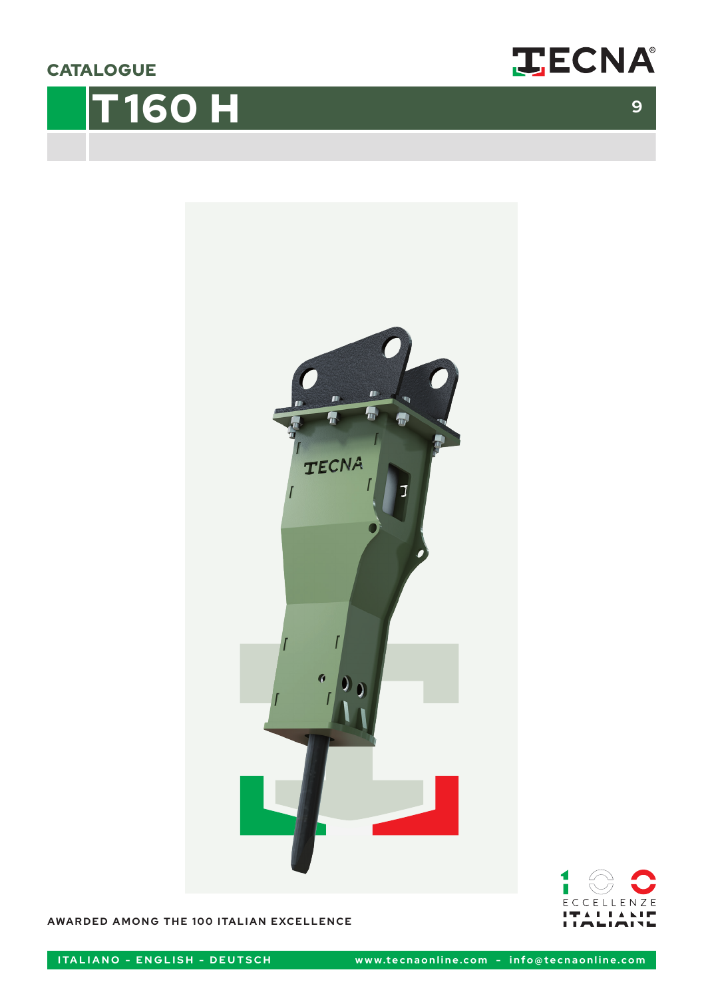**CATALOGUE** 









**AWARDED AMONG THE 100 ITALIAN EXCELLENCE**